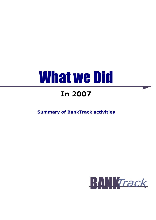# What we Did

# In 2007

Summary of BankTrack activities

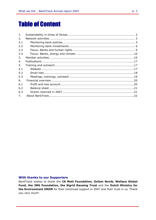# Table of Content

| 1.  |  |
|-----|--|
| 2.  |  |
| 2.1 |  |
| 2.2 |  |
| 2.3 |  |
| 2.4 |  |
| 3.  |  |
| 4.  |  |
| 5.  |  |
| 5.1 |  |
| 5.2 |  |
| 5.3 |  |
| 6.  |  |
| 6.1 |  |
| 6.2 |  |
| 6.3 |  |
| 7.  |  |
|     |  |

#### With thanks to our Supporters

BankTrack wishes to thank the CS Mott Foundation, Oxfam Novib, Wallace Global Fund, the JMG Foundation, the Sigrid Rausing Trust and the Dutch Ministry for the Environment VROM for their continued support in 2007 and their trust in us. Thank you very much!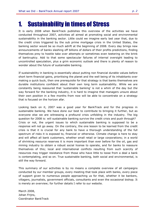# 1. Sustainability in times of Stress

It is early 2008 when BankTrack publishes this overview of the activities we have conducted throughout 2007, activities all aimed at promoting social and environmental sustainability in the banking sector. Little could we imagine early last year that, due to the credit crisis triggered by the sub prime mortgage crisis in the United States, the banking sector would be so much adrift at the beginning of 2008. Every day brings new announcements of banks slashing off billions of dollars of their profits predictions, finding themselves prey to hostile take over attempts or sometimes even teetering on the brink of bankruptcy. Add to that some spectacular failures of internal oversight leading to uncontrolled speculation, plus a grim economic outlook and there is plenty of reason to wonder about the future of sustainable banking.

If sustainability in banking is essentially about putting non financial durable values before short term financial gains, prioritising the planet and the well being of its inhabitants over making a quick buck, then one prerequisite for that strategy is that banks themselves are durable institutions confident about their own long term sustainability. While we are constantly being reassured that 'sustainable banking' is not a whim of the day but the way forward for the banking industry, it is hard to imagine that managers unsure about their own position in a few months from now will be able to concentrate on a strategy that is focused on the horizon afar.

Looking back on it, 2007 was a good year for BankTrack and for the progress in sustainable banking. We have done our best to contribute to bringing it further, but as everyone else we are witnessing a profound crisis unfolding in the industry. The big question for 2008 is: will sustainable banking survive the credit crisis and push through? Crisis or not, the urgent issues to which sustainable banking is supposed to be a response will not go away. On the contrary, the one lesson to be learned from the credit crisis is that it is crucial for any bank to have a thorough understanding of the full spectrum of risks it is exposed to, financial or otherwise. Climate change is here to stay and will affect all bank customers, whether small retail or large corporations; in a world of shrinking resource reserves it is more important than ever before for the oil, gas and mining industry to obtain a robust social license to operate, and for banks to reassure themselves of this; local and international conflicts resulting from such scarcity of resources may trigger resistance from those who have little to loose from a deal a bank is contemplating, and so on. True sustainable banking, both social and environmental, is still the way forward.

This summary of our activities is by no means a complete overview of all campaigns conducted by our member groups, every meeting that took place with banks, every piece of support given to numerous people approaching us for that, whether it be bankers, villagers, journalists, government officials, consultants and even the occasional bishop. It is merely an overview; for further details I refer to our website.

March 2008, Johan Frijns, Coordinator BankTrack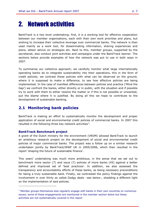# 2. Network activities

BankTrack is a two level undertaking; first, it is a working tool for effective cooperation between our member organisations, each with their own work priorities and plans, but wishing to increase their collective leverage over commercial banks. The network is then used mainly as a work tool, for disseminating information, sharing experiences and plans, obtain advice on strategies etc. Next to this, member groups, supported by the secretariat, also conduct joint activities and campaigns under the BankTrack banner. The sections below provide examples of how the network was put to use in both ways in 2007.

To summarise our collective approach; we carefully monitor what large internationally operating banks do to integrate sustainability into their operations, this in the form of credit policies; we contrast these policies with what can be observed on the ground, where it is supposed to make a difference, to see how effective policies are being implemented. In the case of manifest differences between policies and practice ('Mind the Gap') we confront the banks, either directly or in public, with the situation and if possible try to work with them to either resolve the matter or if this is not possible or unwanted, put the blame where it is justified. By doing all this we hope to contribute to the development of sustainable banking.

### 2.1 Monitoring bank policies

BankTrack is making an effort to systematically monitor the development and proper application of social and environmental credit policies of commercial banks. In 2007 this resulted in the following three key network activities $^1$ :

#### BankTrack Benchmark project

j.

A grant of the Dutch ministry for the environment (VROM) allowed BankTrack to launch an ambitious research project on the development of social and environmental credit policies of major commercial banks. The project was a follow up on a similar research undertaken jointly by BankTrack/WWF UK in 2005/2006, which then resulted in the report 'shaping the future of sustainable finance'.

This years' undertaking was much more ambitious, in the sense that we set out to benchmark more sector (7) and issue (7) policies of more banks (45) against a better defined and improved set of 'best practices'. In addition, we also assessed the transparency and accountability efforts of these banks, as being necessary preconditions for being a truly sustainable bank. Finally, we contrasted the policy findings against the involvement in over thirty so called Dodgy deals –see below-, shedding a different light on the implementation of said policies.

<sup>&</sup>lt;sup>1</sup> Member groups themselves also regularly engage with banks in their own countries on numerous issues; some of these engagements are mentioned in the member section below but these activities are not systematically covered in this report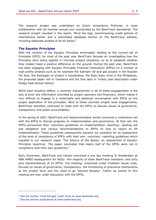The research project was undertaken by Dutch consultancy Profundo, in close collaboration with all member groups and coordinated by the BankTrack secretariat. The research project resulted in the report, 'Mind the Gap; benchmarking credit policies of international banks' and a searchable database section on the BankTrack website, including elaborate profiles of all 45 banks. $2$ 

#### The Equator Principles

With the revision of the Equator Principles terminated, leading to the current set of Principles (EPII), for most of the past year BankTrack focused on investigating how the Principles were being applied in concrete project situations, so as to establish whether they indeed make a positive difference on the ground. During the past year, BankTrack has been engaging with Equator Principles Financial Institutions (EPFIs) on a number of high profile projects such as for example the Sakhalin Oil and gas project in the Russian Far East, the Kashagan oil project in Kazakhstan, the Rapu Rapu mine in the Philippines, the proposed paper mill in Tasmania and the Ilisu dam in Turkey (see description under Dodgy Deal section below).

While each situation differs, a common characteristic in all of these engagements is the lack of even key information provided by project sponsors and financiers, which makes it very difficult to engage in a meaningful and balanced conversation with EPFIs on the proper application of the principles. Next to these concrete project level engagements, BankTrack therefore continued to meet with the EPFIs to discuss issues of governance, transparency and public accountability.

In the spring of 2007, BankTrack and Hypovereinsbank jointly convened a conference call with the EPFIs to discuss progress on implementation and governance. At that call, the EPFIs announced their 'voluntary guidelines on implementation reporting', spelling out one obligation and various recommendations to EPFIs on how to report on EP implementation. These guidelines subsequently became our yardstick for an assessment of the level of compliance of EPFIs with their own -voluntary- reporting guidelines which resulted in our research paper 'The Silence of the Banks: an assessment of Equator Principles reporting'. The paper concluded that nearly half of the EPFIs were not in compliance with their own quidelines. $3$ 

Early December, BankTrack and Calyon convened a one day meeting In Amsterdam at ABN AMRO headquarters for NGOs –the majority of them BankTrack members- and sixty plus representatives of 25 EPFIs. The meeting, conducted under Chatham house rules, focused on issues of governance, transparency, the functioning of grievance mechanisms at the project level and the need to go 'beyond Equator'. Follow up events to this meeting are now under discussion with the EPFIs.

ł

 $2$  See the section 'mind the gap' under focus at www.banktrack.org

<sup>&</sup>lt;sup>3</sup> See the section publications at www.banktrack.org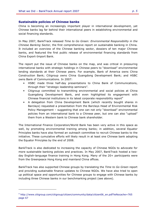#### Sustainable policies of Chinese banks

China is becoming an increasingly important player in international development, yet Chinese banks lag far behind their international peers in establishing environmental and social financing standards.

In May 2007, BankTrack released Time to Go Green: Environmental Responsibility in the Chinese Banking Sector, the first comprehensive report on sustainable banking in China. It included an overview of the Chinese banking sector, dossiers of ten major Chinese banks, and featured the first public release of environmental financing standards from China Export-Import Bank.

The report put the issue of Chinese banks on the map, and was critical in pressuring international banks with strategic holdings in Chinese peers to "download" environmental lending standards at their Chinese peers. For example, Bank of America owns China Construction Bank; Citigroup owns China Guangdong Development Bank; and HSBC owns Bank of Communications. In 2007:

- HSBC made three half-day presentations to China Bank of Communications, through their "strategic leadership seminars".
- Citigroup committed to transmitting environmental and social policies at China Guangdong Development Bank, and even highlighted its engagement with Chinese financial institutions in its latest corporate responsibility report<sup>4</sup>
- A delegation from China Development Bank (which recently bought shares in Barclays) requested a presentation from the Barclays Head of Environmental Risk Policy Management – suggesting that one can not only "download" environmental policies from an international bank to a Chinese peer, but one can also "upload" them from a Western bank to Chinese bank shareholder.

The International Finance Corporation/World Bank has been very active in this space as well, by promoting environmental training among banks; in addition, several Equator Principles banks have also formed an outreach committee to recruit Chinese banks to the initiative. These cumulative efforts will likely result in at least one Chinese bank adopting the Equator Principles by the end of 2008.

BankTrack is also dedicated to increasing the capacity of Chinese NGOs to advocate for more sustainable banking policies and practices. In May 2007, BankTrack hosted a twoday English-language finance training in Hong Kong. Many of the 20+ participants were from the Greenpeace Hong Kong and mainland China offices.

BankTrack has also supported Chinese groups by translating the Time to Go Green report and providing sustainable finance updates to Chinese NGOs. We have also tried to open up political space and opportunities for Chinese groups to engage with Chinese banks by including three Chinese banks in our benchmarking project (see above).

ł

<sup>4</sup> http://www.citigroup.com/citigroup/citizen/community/data/citizen06\_en.pdf?ieNocache=765 page 67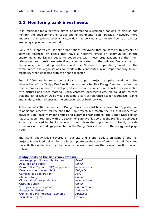### 2.2 Monitoring bank investments

It is important for a network aimed at promoting sustainable banking to discuss and monitor the development of social and environmental bank policies. However, more important than judging what is written down as policies is to monitor how such policies are being applied on the ground.

BankTrack supports civil society organisations worldwide that are faced with projects or activities financed by banks that have a negative effect on communities or the environment. BankTrack seeks to cooperate with these organisations so that their grievances and goals are effectively communicated to the private financial sector. Conversely, our working relations and the 'license to operate' granted by the communities and organisations we work with, contributes in an important way to our credibility when engaging with the financial sector.

End of 2006 we improved our ability to support project campaign work with the introduction of the 'Dodgy Deal' section on our website. This Dodgy Deal section features case summaries of controversial projects or activities, which are then further presented with pictures and video material, links, contacts, documents etc. We could not foresee that the list of Dodgy Deals would become a sort of reference list for journalists, banks and analysts when discussing the effectiveness of bank policies.

At the end of 2007 the number of Dodgy Deals on our list has increased to 33, partly due to additional research for the Mind the Gap project, but mostly the result of cooperation between BankTrack member groups and external organisations. The Dodgy Deal section has also been integrated with the section of Bank Profiles so that the profiles list all deals a bank is involved in. Banks have also been given the opportunity to directly provide comments on the findings presented in the Dodgy Deals directly on the dodgy deal page itself.

The list of Dodgy Deals covered on our site and a brief update on some of the key projects is provided below. For the latest update on the state of affairs with all Deal and the activities undertaken by the network on each deal see the relevant section on our website.

| <b>Dodgy Deals on the BankTrack website</b> |                      |  |  |
|---------------------------------------------|----------------------|--|--|
| Aracruz pulp mills and plantations          | Brazil               |  |  |
| Asia Pulp and Paper                         | China                |  |  |
| Baku-Tbilisi-Ceyhan (BTC) oil pipeline      | international        |  |  |
| Belene nuclear power plant                  | <b>Bulgaria</b>      |  |  |
| Camisea gas exploration                     | Peru                 |  |  |
| China Datang                                | China                |  |  |
| <b>Cluster Munitions producers</b>          | international        |  |  |
| <b>CNPC in Sudan</b>                        | China                |  |  |
| Dynegy coal power plants                    | <b>United States</b> |  |  |
| <b>Freeport McMoRan</b>                     | Indonesia            |  |  |
| Gunns Pulp Mill Proposal Tasmania           | Australia            |  |  |
| Ilisu Dam Project                           | <b>Turkey</b>        |  |  |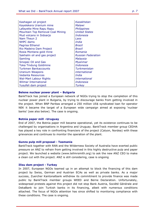| Kashagan oil project             | Kazakhstan                |
|----------------------------------|---------------------------|
| Kayelekera Uranium mine          | Malawi                    |
| Lafayette Mine Rapu Rapu         | Philippines               |
| Mountain Top Removal Coal Mining | <b>United States</b>      |
| Mud volcano in Sidoarjo          | Indonesia                 |
| Nam Theun 2                      | Laos                      |
| NHPC dams                        | India                     |
| Pagrisa Ethanol                  | Brazil                    |
| Rio Madeira Dam Project          | Brazil                    |
| Rosia Montana gold mine          | Romania                   |
| Sakhalin oil and gas project     | <b>Russian Federation</b> |
| Samling                          | Malaysia                  |
| Sinopec Oil and Gas              | Myanmar                   |
| <b>Toka Tindung Goldmine</b>     | Indonesia                 |
| <b>Turkmen Bankaccounts</b>      | Turkmenistan              |
| <b>Uranium Weapons</b>           | international             |
| <b>Vedanta Resources</b>         | India                     |
| <b>Wal-Mart Labour Rights</b>    | international             |
| <b>Wilmar International</b>      | Indonesia                 |
| Yusufeli dam project             | <b>Turkey</b>             |

#### Belene nuclear power plant – Bulgaria

BankTrack has joined a European network of NGOs trying to stop the completion of this nuclear power plant in Bulgaria, by trying to discourage banks from getting involved in the project. When BNP Paribas arranged a 250 million US\$ syndicated loan for operator NEK it became the target of a European wide campaign aimed at exposing 'nuclear banks' (see also below). The case is ongoing.

#### Botnia paper mill –Uruguay

End of 2007, the Botnia paper mill became operational, yet its existence continues to be challenged by organisations in Argentina and Uruguay. BankTrack member group CEDHA has played a key role in confronting financiers of the project (Calyon, Nordea) with these grievances and continues to monitor the operation of the plant.

#### Gunns pulp mill proposal - Tasmania

BankTrack together with RAN and the Wilderness Society of Australia have exerted public pressure on ANZ to refrain from getting involved in this highly destructive pulp and paper project. We launched a website (www.tellmrsmith.org) to ask the new ANZ CEO to make a clean cut with the project. ANZ is still considering, case is ongoing

#### Ilisu dam project - Turkey

In 2007, European NGOs teamed up in an attempt to block the financing of this dam project by Swiss, German and Austrian ECAs as well as private banks. As a major success, Zuercher Kantonalbank withdrew its commitment to provide finance was made public by BankTrack member groups WEED and Berne Declaration. Unfortunately, widespread protests against this project did not stop Bank Austria, Société Générale and DekaBank to join Turkish banks in its financing, albeit with numerous conditions attached. The focus of NGOs attention has since shifted to monitoring compliance with these conditions. The case is ongoing.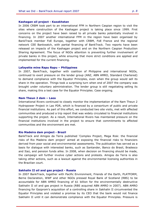#### Kashagan oil project - Kazakhstan

In 2006 CRBM took part to an international FFM in Northern Caspian region to visit the sites where construction of the Kashagan project is taking place since 1999. First concerns on the project have been raised to all private banks potentially involved in financing. In 2007 another international FFM in the region have been organised by BankTrack member FoE Europe, together with CRBM, FoE France and the regional network CEE Bankwatch, with partial financing of BankTrack. Two reports have been released on impacts of the Kashagan project and on the Northern Caspian Production Sharing Agreement. The focus of NGOs attention is preventing further involvement of private banks in this project, while ensuring that more strict conditions are applied and implemented for the current financing.

#### Lafayette mine Rapu Rapu – Philippines

In 2007, BankTrack, together with coalition of Philippine and international NGOs, continued to exert pressure on the lender group (ANZ, ABN AMRO, Standard Chartered) to demand compliance with the Equator Principles, even when the group would sell its share in the operation. Things took a surprising turn when end of 2007 the company was brought under voluntary administration. The lender group is still negotiating selling its share, making this a test case for the Equator Principles. Case ongoing.

#### Nam Theun 2 dam – Laos

International Rivers continued to closely monitor the implementation of the Nam Theun 2 Hydropower Project in Lao PDR, which is financed by a consortium of public and private financial institutions. As part of this effort, we conducted two site visits, met with affected communities and produced a trip report that was widely circulated to financial institutions supporting the project. As a result, International Rivers has maintained pressure on the financial institutions involved in the project to ensure that commitments to affected communities and the environment are met.

#### Rio Madeira dam project - Brazil

BankTrack and Amigos da Terra published 'Complex Project, Mega Risk: the financial risks of Rio Madeira dam project' aimed at exposing the financial risks to financiers derived from poor social and environmental assessments. The publication has served as a basis for dialogue with interested banks, such as Santander, Banco do Brasil, Bradesco and Itaú, and pension funds alike. In 2008, when decision on financing should be made, the campaign will further involve cyber actions and protests. Amigos da Terra is also taking other actions, such as a lawsuit against the environmental licensing authorities in the Brazilian court.

#### Sakhalin II oil and gas project - Russia

In 2007 BankTrack, together with Pacific Environment, Friends of the Earth, PLATFORM, Berne Declaration, WWF and other NGOs pressed Royal Bank of Scotland (RBS) to be accountable for ABN AMRO financing of \$1 billion for the environmentally destructive Sakhalin II oil and gas project in Russia (RBS acquired ABN AMRO in 2007). ABN AMRO financing for Gazprom's acquisition of a controlling share in Sakhalin II circumvented the Equator Principles and violated a promise by its CEO that the bank would not finance Sakhalin II until it can demonstrate compliance with the Equator Principles. Pressure is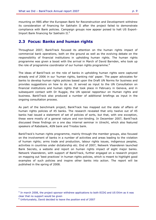mounting on RBS after the European Bank for Reconstruction and Development withdrew its consideration of financing for Sakhalin II after the project failed to demonstrate compliance with Bank policies. Campaign groups now appear poised to halt US Export-Import Bank financing for Sakhalin II.<sup>5</sup>

### 2.3 Focus: Banks and human rights

Throughout 2007, BankTrack focused its attention on the human rights impact of commercial bank operations, both on the ground as well as the evolving debate on the responsibility of financial institutions in upholding human rights. The human rights programme was given a boost with the arrival in March of David Barnden, who took up the role of programme coordinator of our human rights programme.<sup>6</sup>

The ideas of BankTrack on the role of banks in upholding human rights were captured already end of 2006 in our 'human rights, banking risk' paper. The paper advocates for banks to develop human rights policies based upon the Draft UN Norms for business and provides suggestions on how to do so. It served as input to the UN Consultation on financial institutions and human rights that took place in February in Geneva, and in subsequent contact with Dr Ruggie, the UN special rapporteur on Human rights and business. BankTrack also produced a number of additional briefings as input in the ongoing consultation process.

As part of the benchmark project, BankTrack has mapped out the state of affairs of human rights policies of 45 banks. The research revealed that only twelve out of 45 banks had issued a statement of set of policies of sorts, but that, with one exception, these were mostly of a general nature and non-binding. In December 2007, BankTrack discussed these findings on a one day internal seminar in Utrecht, which also featured speakers of Rabobank, ASN bank and Triodos bank.

BankTrack's human rights programme, mainly through the member groups, also focused on the involvement of banks in a number of activities and areas leading to the violation of human rights; arms trade and production, labour rights issues, indigenous peoples, activities in countries under dictatorship etc. End of 2007, Netwerk Vlaanderen launched Bank Secrets, a website and report on human rights impact of eight major banks. Netwerk Vlaanderen, with support of BankTrack, further engaged on a research project on mapping out 'best practices' in human rights policies, which is meant to highlight good examples of such policies and inspire other banks into action. The report will be published in the spring of 2008.

j.

<sup>&</sup>lt;sup>5</sup> In march 2008, the project sponsor withdrew applications to both ECDG and US EXim as it was clear that no support would be given

<sup>6</sup> Unfortunately, David decided to leave the position end of 2007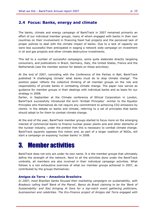### 2.4 Focus: Banks, energy and climate

The banks, climate and energy campaign of BankTrack in 2007 remained primarily an effort of our individual member groups, many of whom engaged with banks in their own countries on their involvement in financing fossil fuel projects and the perceived lack of proper policies to deal with the climate impact of banks. Due to a lack of capacity we were less successful than anticipated in waging a network wide campaign on investment in oil and gas projects and other climate destructive investments.

This led to a number of successful campaigns, some quite elaborate directly targeting consumers, and publications in Brazil, Germany, Italy, the United States, France and the Netherlands (see the member section for details on these activities).

At the end of 2007, coinciding with the Conference of the Parties in Bali, BankTrack published 'A challenging climate' what banks must do to stop climate change'. The position paper reflects the collective thinking of all member groups on the role and responsibility of private banks in combating climate change. The paper now serves as guidance for member groups in their dealings with individual banks and as basis for our strategy in 2008.

Earlier, in September at the Climate conference of Ethical Corporation in London, BankTrack successfully introduced the term 'Kiribati Principles' -similar to the Equator Principles who themselves do not require any commitment to achieving CO2 emissions by clients- in the debate on banks and climate, referring to a set of principles that banks should adopt to for them to combat climate change.

At the end of the year, BankTrack member groups started to focus more on the emerging interest of commercial banks to finance nuclear power plants and and other elements of the nuclear industry, under the pretext that this is necessary to combat climate change. BankTrack squarely opposes this notion and, as part of a larger coalition of NGOs, will start a campaign on exposing 'nuclear banks' in 2008.

# 3. Member activities

BankTrack does not only act under its own name. It is the member groups that ultimately define the strength of the network. Next to all the activities done under the BankTrack umbrella, all members are also involved in their individual campaign activities. What follows is a non exhaustive overview of what our member groups achieved in 2007, as contributed by the groups themselves:

#### Amigos da Terra – Amazônia Brasileira

In 2007, most Brazilian banks focused their marketing campaigns on sustainability, with Bradesco calling itself 'Bank of the Planet', Banco do Brasil claiming to be the 'Bank of Sustainability' and Itaú bringing Al Gore for a top-notch event gathering politicians, businessmen and celebrities. The Eco-Finance project of Amigos dat Terra engaged with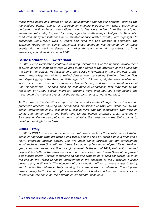these three banks and others on policy development and specific projects, such as the Rio Madeira dams.<sup>7</sup> The latter deserved an innovative publication, where Eco-Finance portrayed the financial and reputational risks to financiers derived from the dams' poor environmental study, inspired by rating agencies methodology. Amigos da Terra also conducted many presentations in sustainable finance related events, with highlights to presenting BankTrack's Do's & Don'ts and Mind the Gap reports at Febraban, the Brazilian Federation of Banks. Significant press coverage was obtained by all these events. Further work to develop a market for environmental guarantees, such as insurance, should yield results in 2008.

#### Berne Declaration – Switzerland

In 2007 Berne Declaration continued to bring several cases of the financial involvement of Swiss banks in companies that violated human rights to the attention of the public and the banks themselves. We focused on Credit Suisse involvement in the China Poly Group, arms trade, allegations of uncontrolled deforestation caused by Samling, land conflicts and illegal logging in the Amazon. With regards to UBS, we highlighted their involvement in Petrochina and other oil companies active in Sudan; and the involvement in Global Coal Management – planned open pit coal mine in Bangladesh that may lead to the relocation of 42.000 people, indirectly affecting more than 200.000 other people and threatening the mangrove forest of the Sundarbans (Unesco World Heritage)

At the time of the BankTrack report on banks and climate Change, Berne Declaration presented research showing the "embedded emissions" of UBS (emissions due to the banks involvement in oil, coal mining, coal burning and car companies). Our work on banks and human rights and banks and climate gained extensive press coverage in Switzerland. Continuous public scrutiny maintains the pressure on the Swiss banks to develop meaningful standards.

#### CRBM – Italy

In 2007 CRBM has worked on several sectoral issues, such as the involvement of Italian banks in financing arms production and trade, and the role of Italian banks in financing a newly emerging nuclear sector. The two main banks targeted by our campaigning activities have been Unicredit and Intesa Sanpaolo, by far the two biggest Italian banking groups and the one more active on a global level. At the end of 2007, Unicredit promoted new policies both on the arms sector and on the nuclear one. Intesa Sanpaolo approved a new arms policy. Several campaigns on specific projects have been conducted, such as the one on the Intesa Sanpaolo involvement in the financing of the Mochovce Nuclear power plant, in Slovakia. The objective of our campaign efforts on these issues is to try and broaden the debate in Italy, moving for example from a debate on financing the arms industry to the Human Rights responsibilities of banks and from the nuclear sector to challenge the banks on their overall environmental behaviour

 $7$  See also the relevant Dodgy deal at www.banktrack.org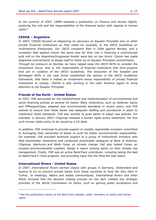In the summer of 2007, CRBM released a publication on Finance and Human Rights, exploring the role and the responsibilities of the financial sector with regards to human rights.<sup>8</sup>

#### CEDHA – Argentina

In 2007, CEDHA focused on deepening its advocacy on Equator Principles and on other private Financial Institutions as they relate for example, to the OECD Guidelines on multinational Enterprises. Our OECD complaint filed in 2006 against Nordea, and a complaint filed against Calyon the same year for their role in financing a controversial pulp mill on the Argentine/Uruguayan border were key on two fronts. Calyon has made deepened commitments to assign staff to follow up on Equator Principles commitments. Through our pressure on Nordea, we have helped sway the OECD NCPs to consider the

investment nexus, that is, the responsibility of financial institutions that fund projects that are in violation of the OECD Guidelines. The resolution of the Swedish and Norwegian NCPs in the case firmly established the opinion in the OECD Guidelines framework, that there is indeed an investment nexus responsibility of private financial institutions to comply. CEDHA is also working in the Latin America region to bring attention to the Equator Principles.

#### Friends of the Earth - United States

In 2007, FOE advocated for the establishment and implementation of environmental and social financing policies at several US banks. Many institutions, such as Goldman Sachs and JPMorganChase, adopted new environmental standards in recent years, and FOE worked to ensure that these banks had adequate staffing and procedures in place to implement these standards. FOE also worked to push banks to adopt new policies. For example, in January 2007, Citigroup released a human rights policy statement, the first such human rights policy to be issued by a US bank.

In addition, FOE continued to provide support to socially responsible investors committed to leveraging their ownership of banks to push for better environmental responsibility. For example, FoE provided technical support to a group of institutional investors who filed shareholder resolutions and conducted shareholder dialogues at Bank of America, Citigroup, Wachovia and Wells Fargo on climate change. FoE also helped Ceres, an investor-environmentalist coalition, design a report ranking banks on their climate risk management. Finally, FOE was an active BankTrack contributor, including taking the lead on BankTrack's China program, and providing input into the Mind the Gap report.

#### International Rivers - United States

ł

In 2007, International Rivers worked closely with groups in Germany, Switzerland and Austria to try to prevent private banks from these countries to fund the Ilisu Dam in Turkey. In meetings, letters and media communiqués, International Rivers and other NGOs stressed that the decision making process for the dam violates key strategic priorities of the World Commission on Dams, such as gaining public acceptance and

<sup>&</sup>lt;sup>8</sup> See the publications sector on the BankTrack website, under 'members on banks and human rights'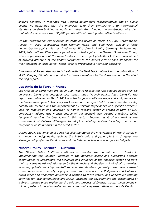sharing benefits. In meetings with German government representatives and on public events we demanded that the financiers take their commitments to international standards on dam building seriously and refrain from funding the construction of a dam that will displace more than 50,000 people without offering alternative livelihoods.

On the International Day of Action on Dams and Rivers on March 14, 2007, International Rivers, in close cooperation with German NGOs and BankTrack, staged a large demonstration against German funding for Ilisu dam in Berlin, Germany. In November 2007, International Rivers participated at a protest against the German Sparkasse Group, which supervises one of the main funders of the project (DekaBank). The protest aimed at drawing attention of the bank's customers to the bank's lack of good standards for their financing of large dams, which leads to irresponsible financing decisions.

International Rivers also worked closely with the BankTrack network on the publication of 'A Challenging Climate' and provided extensive feedback to the dams section in the Mind the Gap report.

#### Les Amis de la Terre – France

Les Amis de la Terre main project in 2007 was to release the first detailed public analysis on French banks and energy/climate issues, titled "French banks, fossil banks?". The report was published in March 2007 and led to good media coverage and a big impact on the banks investigated. Advocacy work based on the report led to some concrete results, notably the creation and the improvement by several major banks of a specific attractive loan for renovation and insulation of homes (second sector in France in term of CO2 emissions). Ademe (the French energy official agency) also created a website called "écoprêts" ranking the best loans in this sector. Another result of our work is the commitment of Caisses d'Epargne to adopt a labeling system including the carbon footprint of all its products in the retail sector.

During 2007, Les Amis de la Terre has also monitored the involvement of French banks in a number of dodgy deals, such as the Botnia pulp and paper plant in Uruguay, the Kashagan oil project in Kazakhstan and the Belene nuclear power project in Bulgaria.

#### Mineral Policy Institute – Australia

The Mineral Policy Institute continues to monitor the commitment of banks in implementing the Equator Principles in the minerals sector and supporting affected communities to understand the structure and influence of the financial sector and have their concerns heard and addressed by the financial stakeholders in individual companies, including private banking institutions and shareholders generally. We have assisted communities from a variety of project Rapu Rapu island in the Philippines and Malawi in Africa meet and undertake advocacy in relation to these actors, and undertaken training activities for local communities and NGOs, including the development and presentation of a forum theatre piece explaining the role and process of financial sector involvement in mining projects to local organisation and community representatives in the Asia Pacific.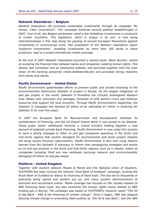#### Netwerk Vlaanderen – Belgium

Netwerk Vlaanderen (B) promotes sustainable investments through its campaign 'My money. Clear Conscience?'. This campaign achieved several political breakthroughs in 2007. First of all, the Belgian parliament voted a law forbidding investments in producers of cluster munitions. This legislation, which is unique in its sort, is now being internationalised, a first step being the passing of several European Resolutions against investments in controversial arms. The publication of the Netwerk Vlaanderen report 'explosive investments', revealing investments by more then 100 banks in these producers, lead to a broad international media coverage.

At the end of 2007 Netwerk Vlaanderen launched a second study 'Bank Secrets', aimed at revealing the financial links between banks and companies violating human rights. This dossier was translated into an interactive website, and launched together with the main Union of the banking personnel (www.banksecrets.be) and provoked strong reactions from banks and clients.

#### Pacific Environment – United States

Pacific Environment spearheaded efforts to prevent public and private financing of the environmentally destructive Sakhalin II project in Russia. As the largest integrated oil and gas project in the world, Sakhalin II threatens the critically endangered Western Gray Whale with extinction and damages hundreds of wild salmon rivers and fisheries resources that support the local economy. Through Pacific Environment's leadership, the Sakhalin II campaign has blocked \$5 billion of an estimated \$7 billion in financing for Sakhalin II for over five years.

In 2007 the European Bank for Reconstruction and Development withdrew its consideration of financing, and the US Export-Import Bank is now poised to do likewise. These public banks' withdrawal removes a critical lynchpin holding together a vast amount of potential private bank financing. Pacific Environment is now using this success to send a strong message to other oil and gas companies operating in the Arctic and Sub-Arctic regions that wonton disregard for environmental and social project impacts will bring severe financial repercussions. Pacific Environment is also now using lessons learned from the Sakhalin II advocacy to inform new campaigning strategies and tactics on oil and gas projects in the Arctic and Sub-Arctic regions, such as in Alaska, where oil companies including Shell are now recklessly pursuing massive and environmentally damaging off-shore oil and gas leases.

#### Platform - United Kingdom

Together with student network People & Planet and the National Union of Students, PLATFORM has been running the national "Oyal Bank of Scotland" campaign, pushing the Royal Bank of Scotland to reduce its financing of fossil fuels. This has led to thousands of postcards being signed and stickers put up, and many student demonstrations at branches and recruitment events. Media coverage has focused on the climate impacts of RBS financing fossil fuels, but also examined the human rights issues related to RBS funding gas in Burma. The campaign was based on PLATFORM's research report "The Oil & Gas Bank - RBS & the financing of climate change". Since it began, RBS has stopped denying climate change or promoting itself publicly as "the Oil & Gas Bank", and the RBS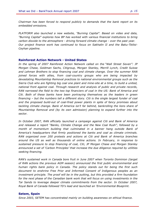Chairman has been forced to respond publicly to demands that the bank report on its embedded emissions.

PLATFORM also launched a new website, "Burning Capital". Based on video and data, "Burning Capital" explores how BP has worked with various financial institutions to bring carbon dioxide to the atmosphere - driving forward climate change - over the past year. Our project finance work has continued to focus on Sakhalin II and the Baku-Tbilisi-Ceyhan pipeline.

#### Rainforest Action Network - United States

In the spring of 2007 Rainforest Action Network called on the "Wall Street Seven": JP Morgan Chase, Goldman Sachs, Citigroup, Morgan Stanley, Merrill Lynch, Credit Suisse and Lehman Brothers to stop financing coal and climate change. Over the summer RAN joined forces with allies, from coal-country groups who are being impacted by devastating Mountaintop Removal practices to national environmental groups such as the Sierra Club who are fighting big coal one plant and mine-site at a time, to build a united, national front against coal. Through research and analysis of public and private records, RAN narrowed the field to the two top financiers of coal in the US: Bank of America and Citi. Both of these banks have been portraying themselves as the leaders in green financing – but the numbers tell a different story. Citi is the single largest funder of coal and the proposed build-out of coal-fired power plants in spite of fancy promises about tackling climate change. Bank of America isn't far behind, bankrolling the lions share of Mountaintop Removal and (by its own admission) planning to expand further into the sector.

In October 2007, RAN officially launched a campaign against Citi and Bank of America and released a report "Banks, Climate Change and the New Coal Rush", followed by a month of momentum building that culminated in a banner hang outside Bank of America's headquarters that firmly positioned the banks and coal as climate criminals. RAN organized over 200 protests and actions at Citi and Bank of America branches around the US as well as thousands of online actions. In February, in response to sustained pressure to stop financing of coal, Citi, JP Morgan Chase and Morgan Stanley announced a set of 'Carbon Principles' that increase the due diligence required by utilities seeking financing.

RAN's sustained work in Canada bore fruit in June 2007 when Toronto Dominion (target of RAN actions the previous AGM season) announced the first public environmental and human rights bank policy in Canada. The policy stands out for being the first such document to enshrine Free Prior and Informed Consent of Indigenous peoples as an investment principle. The proof will be in the putting, but this provided a firm foundation for the next phase of the Canadian bank work that will focus on using investments in the Tar Sands to leverage deeper climate commitments from the sector. In October 2007, Royal Bank of Canada followed TD's lead and launched an 'Environmental Blueprint.

#### Setem, Spain

Since 2003, SETEM has concentrated mainly on building awareness on ethical finance.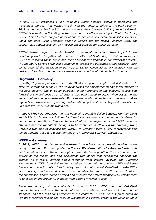In May, SETEM organized a Fair Trade and Ethical Finance Festival in Barcelona and throughout the year, has worked closely with the media to influence the public opinion. 2007 served as a landmark in taking concrete steps towards building an ethical bank. SETEM is actively participating in the promotion of ethical banking in Spain. To do so, SETEM helped create support associations to act as a link between possible clients in Spain and both FIARE (financial agent in Spain) and the Banca Popolare Etica. The support associations also aim to mobilize public support for ethical banking.

SETEM further began to study Spanish commercial banks and their impact in the developing world. To gather information on BBVA and Santander, SETEM commissioned SOMO to research these banks and their financial involvement in controversial projects. In June 2007, SETEM organized a seminar to expose the outcomes of this research. Both banks declined the invitation to participate. SETEM joined BankTrack in 2007 with the desire to draw from the members experience on working with financial institutions.

#### Urgewald – Germany

In 2007, Urgewald published the study "Banks, Pulp and People" and distributed it to over 100 international banks. The study analyses the environmental and social impacts of the pulp industry and gives an overview of new projects in the pipeline. It also sets forward a comprehensive set of criteria that banks need to apply when assessing the impacts of new pulp investments. To keep the public, financiers and decision makers regularly informed about upcoming problematic pulp investments, Urgewald has also set up a website: www.pulpmillwatch.org.

In 2007, Urgewald organized the first national roundtable dialog between German banks and NGOs to discuss possibilities for introducing sectoral environmental standards for banks credit operations. Representatives of all of the major banks and NGO networks attended and the roundtable dialog is to be continued in 2008. On the advocacy front, Urgewald was able to convince the WestLB to withdraw from a very controversial gold mining scheme close to a World heritage site in Northern Sulawesi, Indonesia.

#### WEED – Germany

In 2007, WEED conducted extensive research on private banks possibly involved in the highly contentious Ilisu dam project in Turkey. We alerted all major German banks to its detrimental impacts on the human rights of the affected population, the environment and culture of the region, and had discussions with banks that considered financing the project. As a result, several banks refrained from getting involved and Zuercher Kantonalbank (ZKB) from Switzerland withdrew its commitment, when WEED and Berne Declaration made it public. Unfortunately, we could not prevent DekaBank to take ZKB's place on very short notice despite a broad initiative to inform the 20 member banks of the supervisory board (some of which had rejected the project themselves), asking them to take action and prevent DekaBank from getting involved in Ilisu.

Since the signing of the contracts in August 2007, WEED has met DekaBank representatives and kept the bank informed of continued violations of international standards and the conditions attached to the contract. This has been supplemented by various awareness raising activities. As DekaBank is a central organ of the Savings Banks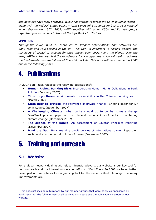and does not have local branches, WEED has started to target the Savings Banks which – along with the Federal States Banks – form DekaBank's supervisory board. At a national action day on Nov.  $30<sup>th</sup>$ , 2007, WEED together with other NGOs and Kurdish groups organized protest actions in front of Savings Banks in 10 cities.

#### WWF-UK

Throughout 2007, WWF-UK continued to support organisations and networks like BankTrank and FairPensions in the UK. This work is important in holding owners and managers of capital to account for their impact upon society and the planet. Over the year, WWF-UK has also laid the foundations for a programme which will seek to address the fundamental system failures of financial markets. This work will be expanded in 2008 and in the following years.

# 4. Publications

In 2007 BankTrack released the following publications<sup>9</sup>:

- Human Rights, Banking Risks Incorporating Human Rights Obligations in Bank Policies (February 2007)
- Time to go Green; environmental responsibility in the Chinese banking sector (March 2007)
- State duty to protect: the relevance of private finance; Briefing paper for Dr John Ruggie. (November 2007)
- A Challenging Climate; What banks should do to combat climate change BankTrack position paper on the role and responsibility of banks in combating climate change (December 2007)
- The silence of the Banks; An assessment of Equator Principles reporting (December 2007)
- Mind the Gap; Benchmarking credit policies of international banks. Report on social and environmental policies of banks (December 2007)

# 5. Training and outreach

### 5.1 Website

j.

For a global network dealing with global financial players, our website is our key tool for both outreach and the internal cooperation efforts of BankTrack. In 2007 we have further developed our website as key organising tool for the network itself. Amongst the many improvements are:

<sup>&</sup>lt;sup>9</sup> This does not include publications by our member groups that were partly co-sponsored by BankTrack. For the full overview pf all publications please see the publications section on our website.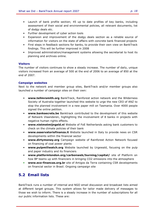- Launch of bank profile section; 45 up to date profiles of key banks, including assessment of their social and environmental policies, all relevant documents, list of dodgy deals etc.
- Further development of cyber action tools
- Expansion and improvement of the dodgy deals section as a reliable source of information for visitors on the state of affairs with concrete bank financed projects
- First steps in feedback sections for banks, to provide their own view on BankTrack findings. This will be further improved in 2008
- Improved administration/management systems allowing the secretariat to host its planning and archives online.

#### **Visitors**

The number of visitors continues to show a steady increase. The number of daily, unique visitors increased from an average of 500 at the end of 2006 to an average of 850 at the end of 2007.

#### Campaign websites

Next to the network and member group sites, BankTrack and/or member groups also launched a number of campaign sites on their own:

- www.tellmrsmith.org BankTrack, Rainforest action network and the Wilderness Society of Australia together launched this website to urge the new CEO of ANZ to stop the planned involvement in a new paper mill on Tasmania. Over 4000 people signed the online petition.
- www.banksecrets.be Banktrack contributed to the development of this website of Netwerk Vlaanderen, highlighting the involvement of 8 banks in projects with negative human rights effects.
- www.nietmetmijngeld.nl Website of FoE Netherlands asking bank customers to check on the climate policies of their bank
- www.osservatoriofinanza.it Website launched in Italy to provide news on CSR developments within the financial sector
- www.dirtymoney.org Campaign website of Rainforest Action Network focused on financing of coal power plants
- www.pulpmillwatch.org Website launched by Urgewald, focusing on the pulp and paper industry and its financiers
- www.platformlondon.org/carbonweb/burning/capital/ site of Platform on how BP teams up with financiers in bringing CO2 emissions into the atmosphere
- www.eco-financas.org.br site of Amigos da Terra containing CSR developments on financial sector in Brasil. Ongoing campaign site

### 5.2 Email lists

BankTrack runs a number of internal and NGO email discussion and broadcast lists aimed at different target groups. This system allows for tailor made delivery of messages to those we wish to inform. There is a steady increase in the number of subscriptions for all our public information lists. These are: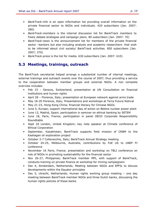- BankTrack-info is an open information list providing overall information on the private financial sector to NGOs and individuals. 420 subscribers (Jan. 2007: 280)
- BankTrack-members is the internal discussion list for BankTrack members to freely debate strategies and campaign plans. 80 subscribers (Jan. 2007: 70)
- BankTrack-news is the announcement list for members of the private financial sector –bankers but also including analysts and academic researchers- that wish to be informed about civil society/ BankTrack activities. 850 subscribers (Jan. 2007; 370)
- BankTrack-press is the list for media. 630 subscribers (Jan. 2007: 610)

### 5.3 Meetings, trainings, outreach

The BankTrack secretariat helped arrange a substantial number of internal meetings, external trainings and outreach events over the course of 2007, thus providing a service to the cooperation between member groups and external NGOs. A non complete overview includes:

- Feb 15 Geneva, Switzerland; presentation at UN Consultation on financial institutions and human rights
- April 28 Florence, Italy; presentation at European network against arms trade
- May 18-20 Florence, Italy; Presentations and workshops at Terra Futura festival
- May 21-23, Hong Kong China; financial literacy for Chinese NGOs
- June 5, Europe; support international day of action on Belene nuclear power plant
- June 13, Madrid, Spain; participation in seminar on ethical banking by SETEM
- June 18, Paris, France; participation in panel OECD Corporate Responsibility Roundtable
- Sept 18 London, United Kingdom; key note speaker at Climate conference of Ethical Corporation
- September, Kazakhstan; BankTrack supports field mission of CRBM to the Kashagan oil exploration project
- October 3-7 Collevecchio, Italy; BankTrack Annual Strategy meeting
- October 24-25, Melbourne, Australia; contributions by FoE US to UNEP FI conference
- November 16 Paris, France; presentation and workshop on TBLI conference on role of NGOs in promoting sustainability for the financial sector
- Nov 26-27, Philippines; BankTrack member MPI, with support of BankTrack, conducts training on private finance at workshop for mining campaigners
- Dec 4, Amsterdam, Netherlands; Meeting between NGOs and EPFIs to discuss developments within the Equator principles
- Dec 5, Utrecht, Netherlands; Human rights working group meeting one day meeting between BankTrack member NGOs and three Dutch banks, discussing the human rights policies of these banks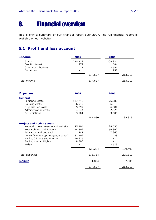# 6. Financial overview

This is only a summary of our financial report over 2007. The full financial report is available on our website.

### 6.1 Profit and loss account

| <b>Income</b>                                                                                                                                                                                                                   | 2007                                                   |         | 2006                                        |         |
|---------------------------------------------------------------------------------------------------------------------------------------------------------------------------------------------------------------------------------|--------------------------------------------------------|---------|---------------------------------------------|---------|
| Grants<br>Credit interest<br>Other contributions<br>Donations                                                                                                                                                                   | 275.732<br>1.879<br>17                                 |         | 208.924<br>684<br>2.651<br>952              |         |
|                                                                                                                                                                                                                                 |                                                        | 277.627 |                                             | 213.211 |
| Total income                                                                                                                                                                                                                    |                                                        | 277.627 |                                             | 213.211 |
| <b>Expenses</b>                                                                                                                                                                                                                 | 2007                                                   |         | 2006                                        |         |
| <b>General</b><br>Personnel costs<br>Housing costs<br>Organisation costs<br>Administration costs                                                                                                                                | 127.740<br>6.947<br>5.097<br>4.044<br>3.701            |         | 76.685<br>6.919<br>6.084<br>2.626           |         |
| Depreciations                                                                                                                                                                                                                   |                                                        | 147.530 | 3.505                                       | 95.818  |
| <b>Project and Activity costs</b><br>Network travel, meetings & website<br>Research and publications<br>Education and outreach<br>VROM "Banken op het goede spoor"<br>Banks, Climate and Energy<br>Banks, Human Rights<br>B-day | 25.404<br>44.309<br>1.241<br>32.409<br>16.335<br>8.506 |         | 28.635<br>69.392<br>7.360<br>1.428<br>2.678 |         |
|                                                                                                                                                                                                                                 |                                                        | 128.204 |                                             | 109.493 |
| Total expenses                                                                                                                                                                                                                  |                                                        | 275.734 |                                             | 205.311 |
| <b>Result</b>                                                                                                                                                                                                                   |                                                        | 1.894   |                                             | 7.900   |
|                                                                                                                                                                                                                                 |                                                        | 277.627 |                                             | 213.211 |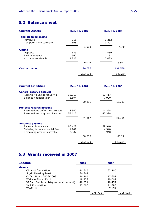## 6.2 Balance sheet

| <b>Current Assets</b>        |       | Dec. 31, 2007 |       | Dec. 31, 2006 |  |
|------------------------------|-------|---------------|-------|---------------|--|
| <b>Tangible fixed assets</b> |       |               |       |               |  |
| Furniture                    | 315   |               | 1.212 |               |  |
| Computers and software       | 698   |               | 3.501 |               |  |
|                              |       | 1.013         |       | 4.714         |  |
| <b>Claims</b>                |       |               |       |               |  |
| Deposits                     | 639   |               | 1.489 |               |  |
| Paid in advance              | 560   |               | 81    |               |  |
| Accounts receivable          | 4.825 |               | 2.423 |               |  |
|                              |       | 6.024         |       | 3.992         |  |
| <b>Cash at banks</b>         |       | 196.087       |       | 131.558       |  |
|                              |       | 203.123       |       | 140.264       |  |

| <b>Current Liabilities</b>       |        | Dec. 31, 2007 |        | Dec. 31, 2006 |  |
|----------------------------------|--------|---------------|--------|---------------|--|
| General reserve account          |        |               |        |               |  |
| Reserve values at January 1      | 18.317 |               | 10.417 |               |  |
| Balance financial year           | 1.894  |               | 7.900  |               |  |
|                                  |        | 20.211        |        | 18.317        |  |
| <b>Projects reserve account</b>  |        |               |        |               |  |
| Reservations unfinished projects | 18.940 |               | 11.328 |               |  |
| Reservations long term income    | 55.617 |               | 42.398 |               |  |
|                                  |        | 74.557        |        | 53.726        |  |
| <b>Accounts payable</b>          |        |               |        |               |  |
| Received in advance              | 93.422 |               | 59.940 |               |  |
| Salaries, taxes and social fees  | 11.947 |               | 4.340  |               |  |
| Remaining accounts payable       | 2.987  |               | 3.940  |               |  |
|                                  |        | 108.356       |        | 68.221        |  |
|                                  |        | 203.123       |        | 140.264       |  |

### 6.3 Grants received in 2007

| <b>Income</b>                         | 2007   |         | 2006   |         |
|---------------------------------------|--------|---------|--------|---------|
| <b>Grants</b>                         |        |         |        |         |
| CS Mott foundation                    | 44.645 |         | 63.960 |         |
| Sigrid Rausing Trust                  | 54.741 |         |        |         |
| Oxfam Novib 2006-2008                 | 76.964 |         | 37.602 |         |
| Wallace Global Fund                   | 18.328 |         | 20.062 |         |
| VROM (Dutch ministry for environment) | 48.054 |         | 48.452 |         |
| <b>JMG Foundation</b>                 | 33.000 |         | 31.696 |         |
| WWF-UK                                |        |         | 7.154  |         |
|                                       |        | 275.732 |        | 208.924 |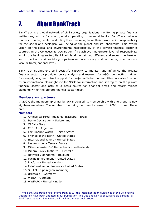# 7. About BankTrack

BankTrack is a global network of civil society organisations monitoring private financial institutions, with a focus on globally operating commercial banks. BankTrack believes that such banks, while conducting their business, have their own specific responsibility for the social and ecological well being of the planet and its inhabitants. This overall vision on the social and environmental responsibility of the private financial sector is captured in the Collevecchio Declaration.<sup>10</sup> To achieve this greater level of responsibility within the banking sector, BankTrack is aiming at two different audiences: the banking sector itself and civil society groups involved in advocacy work on banks, whether on a local or (inter)national level.

BankTrack strengthens civil society's capacity to monitor and influence the private financial sector, by providing policy analysis and research for NGOs, conducting training for campaigners, and direct support for project-affected communities. We also function as an international clearinghouse for NGOs for information and strategies on the private financial sector and acts as a news source for financial press and reform-minded elements within the private financial sector itself.

#### Members and partners

In 2007, the membership of BankTrack increased its membership with one group to now eighteen members. The number of working partners increased in 2008 to nine. These are:

#### Members

- 1. Amigos da Terra Amazonia Brasileira Brazil
- 2. Berne Declaration Switzerland
- 3. CRBM Italy
- 4. CEDHA Argentina
- 5. Fair Finance Watch United States
- 6. Friends of the Earth United States
- 7. International Rivers United States
- 8. Les Amis de la Terre France
- 9. Milieudefensie, FoE Netherlands Netherlands
- 10. Mineral Policy Institute Australia
- 11. Netwerk Vlaanderen Belgium
- 12. Pacific Environment United states
- 13. Platform United Kingdom
- 14.Rainforest Action Network United States
- 15.SETEM Spain (new member)
- 16. Urgewald Germany
- 17. WEED Germany

18. WWF-UK – United Kingdom

 $10$  While the Declaration itself stems from 2003, the implementation guidelines of the Collevechio Declaration have been updated in our publication 'The Dos and Don'ts of sustainable banking; a BankTrack manual'. See www.banktrack.org under publications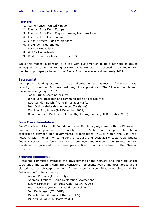#### Partners:

- 1. Cornerhouse United Kingdom
- 2. Friends of the Earth Europe
- 3. Friends of the Earth England, Wales, Northern Ireland
- 4. Friends of the Earth Japan
- 5. Global Witness United Kingdom
- 6. Profundo Netherlands
- 7. SOMO Netherlands
- 8. WISE Netherlands
- 9. World Resources Institute United States

While this modest expansion is in line with our ambition to be a network of groups actively engaged in monitoring private banks we did not succeed in expanding the membership to groups based in the Global South as was envisioned early 2007.

#### **Secretariat**

An improved funding situation in 2007 allowed for an expansion of the secretariat capacity to three near full time positions, plus support staff. The following people kept the secretariat going in 2007:

- Johan Frijns, Coordinator (1fte)
- Ulrike Lohr, Research and communication officer (.88 fte)
- Roel van den Bosch, financial manager (.2 fte)
- Bart Bruil, website design, layout (freelance)
- Carolina Mori, intern (left December 2007)
- David Barnden, Banks and Human Rights programme (left December 2007)

#### BankTrack foundation

BankTrack is a not for profit Foundation under Dutch law, registered with the Chamber of Commerce. The goal of the Foundation is to "initiate and support international cooperation between non-governmental organisations (NGOs) within the BankTrack network, with the aim of stimulating a socially and ecologically sustainable private financial sector". The foundation act as employer and oversees the Secretariat. The foundation is governed by a three person Board that is a subset of the Steering committee.

#### Steering committee

A steering committee oversees the development of the network and the work of the secretariat. The steering committee consists of representatives of member groups and is elected at our strategy meeting. A new steering committee was elected at the Collevecchio Strategy meeting:

- Andrea Baranes (CRBM, Italy)
- Andreas Missbach (Berne Declaration, Zwitserland)
- Becky Tarbotton (Rainforest Action Network, US)
- Inez Louwagie (Netwerk Vlaanderen, Belgium)
- Jennifer Morgan (WWF-UK)
- Michelle Chan (Friends of the Earth US)
- Mika Minio Paluello, (Platform UK)